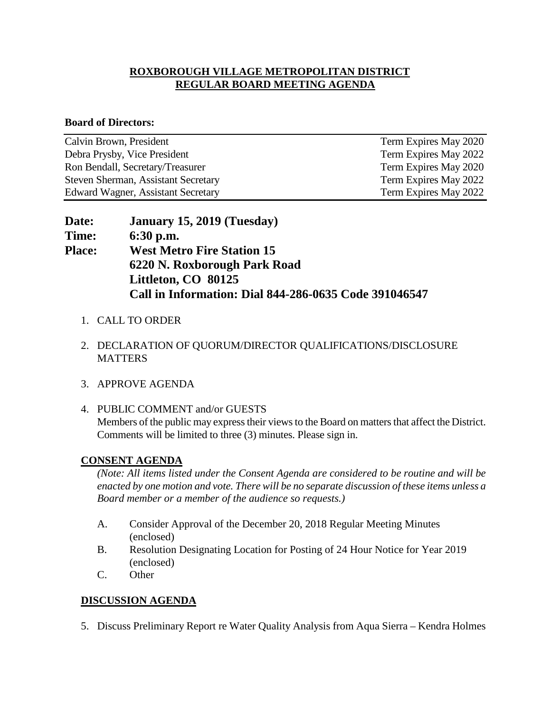## **ROXBOROUGH VILLAGE METROPOLITAN DISTRICT REGULAR BOARD MEETING AGENDA**

#### **Board of Directors:**

| Calvin Brown, President             | Term Expires May 2020 |
|-------------------------------------|-----------------------|
| Debra Prysby, Vice President        | Term Expires May 2022 |
| Ron Bendall, Secretary/Treasurer    | Term Expires May 2020 |
| Steven Sherman, Assistant Secretary | Term Expires May 2022 |
| Edward Wagner, Assistant Secretary  | Term Expires May 2022 |

| <b>Date:</b>  | January 15, 2019 (Tuesday)                            |
|---------------|-------------------------------------------------------|
| <b>Time:</b>  | $6:30$ p.m.                                           |
| <b>Place:</b> | <b>West Metro Fire Station 15</b>                     |
|               | 6220 N. Roxborough Park Road                          |
|               | Littleton, CO 80125                                   |
|               | Call in Information: Dial 844-286-0635 Code 391046547 |

- 1. CALL TO ORDER
- 2. DECLARATION OF QUORUM/DIRECTOR QUALIFICATIONS/DISCLOSURE **MATTERS**
- 3. APPROVE AGENDA
- 4. PUBLIC COMMENT and/or GUESTS Members of the public may express their views to the Board on matters that affect the District. Comments will be limited to three (3) minutes. Please sign in.

## **CONSENT AGENDA**

*(Note: All items listed under the Consent Agenda are considered to be routine and will be enacted by one motion and vote. There will be no separate discussion of these items unless a Board member or a member of the audience so requests.)* 

- A. Consider Approval of the December 20, 2018 Regular Meeting Minutes (enclosed)
- B. Resolution Designating Location for Posting of 24 Hour Notice for Year 2019 (enclosed)
- C. Other

# **DISCUSSION AGENDA**

5. Discuss Preliminary Report re Water Quality Analysis from Aqua Sierra – Kendra Holmes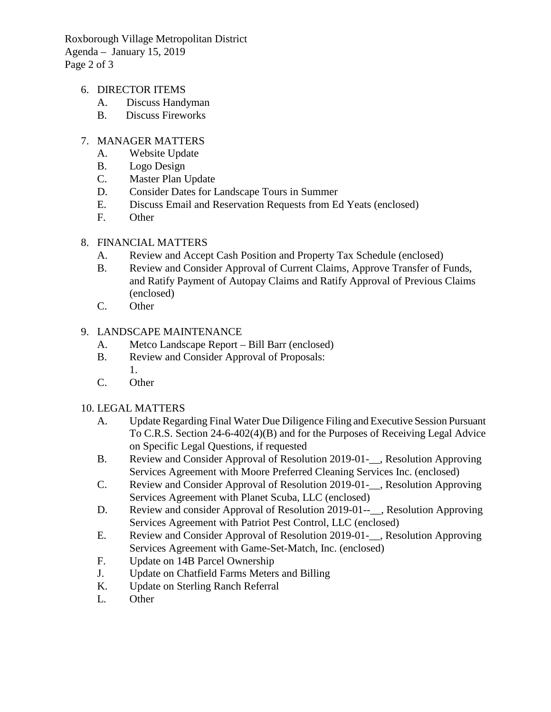Roxborough Village Metropolitan District Agenda – January 15, 2019 Page 2 of 3

- 6. DIRECTOR ITEMS
	- A. Discuss Handyman
	- B. Discuss Fireworks

## 7. MANAGER MATTERS

- A. Website Update
- B. Logo Design
- C. Master Plan Update
- D. Consider Dates for Landscape Tours in Summer
- E. Discuss Email and Reservation Requests from Ed Yeats (enclosed)
- F. Other

## 8. FINANCIAL MATTERS

- A. Review and Accept Cash Position and Property Tax Schedule (enclosed)
- B. Review and Consider Approval of Current Claims, Approve Transfer of Funds, and Ratify Payment of Autopay Claims and Ratify Approval of Previous Claims (enclosed)
- C. Other

## 9. LANDSCAPE MAINTENANCE

- A. Metco Landscape Report Bill Barr (enclosed)
- B. Review and Consider Approval of Proposals: 1.
- C. Other

## 10. LEGAL MATTERS

- A. Update Regarding Final Water Due Diligence Filing and Executive Session Pursuant To C.R.S. Section 24-6-402(4)(B) and for the Purposes of Receiving Legal Advice on Specific Legal Questions, if requested
- B. Review and Consider Approval of Resolution 2019-01-\_\_, Resolution Approving Services Agreement with Moore Preferred Cleaning Services Inc. (enclosed)
- C. Review and Consider Approval of Resolution 2019-01-\_\_, Resolution Approving Services Agreement with Planet Scuba, LLC (enclosed)
- D. Review and consider Approval of Resolution 2019-01--<sub>--</sub>, Resolution Approving Services Agreement with Patriot Pest Control, LLC (enclosed)
- E. Review and Consider Approval of Resolution 2019-01-\_\_, Resolution Approving Services Agreement with Game-Set-Match, Inc. (enclosed)
- F. Update on 14B Parcel Ownership
- J. Update on Chatfield Farms Meters and Billing
- K. Update on Sterling Ranch Referral
- L. Other